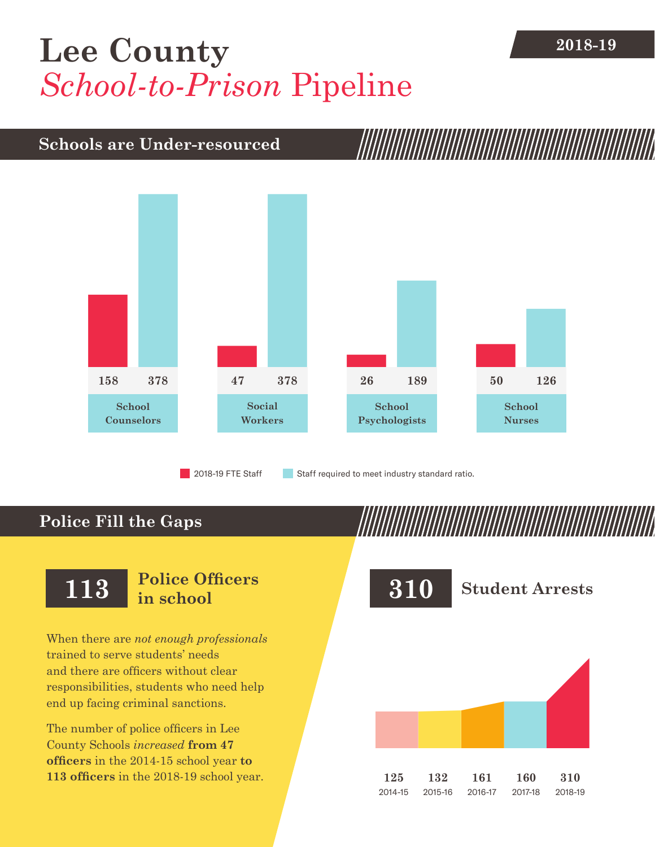## **2018-19 [Lee County](DBF_County)** *School-to-Prison* Pipeline

## **Schools are Under-resourced**



2018-19 FTE Staff **Staff required to meet industry standard ratio.** 

## **Police Fill the Gaps**

When there are *not enough professionals* trained to serve students' needs and there are officers without clear responsibilities, students who need help end up facing criminal sanctions.

The number of police officers in [Lee](DBF_County)  [County](DBF_County) Schools *increased* **from [47](DBF_PO1415)  officers** in the 2014-15 school year **to [113](DBF_PO) officers** in the 2018-19 school year.